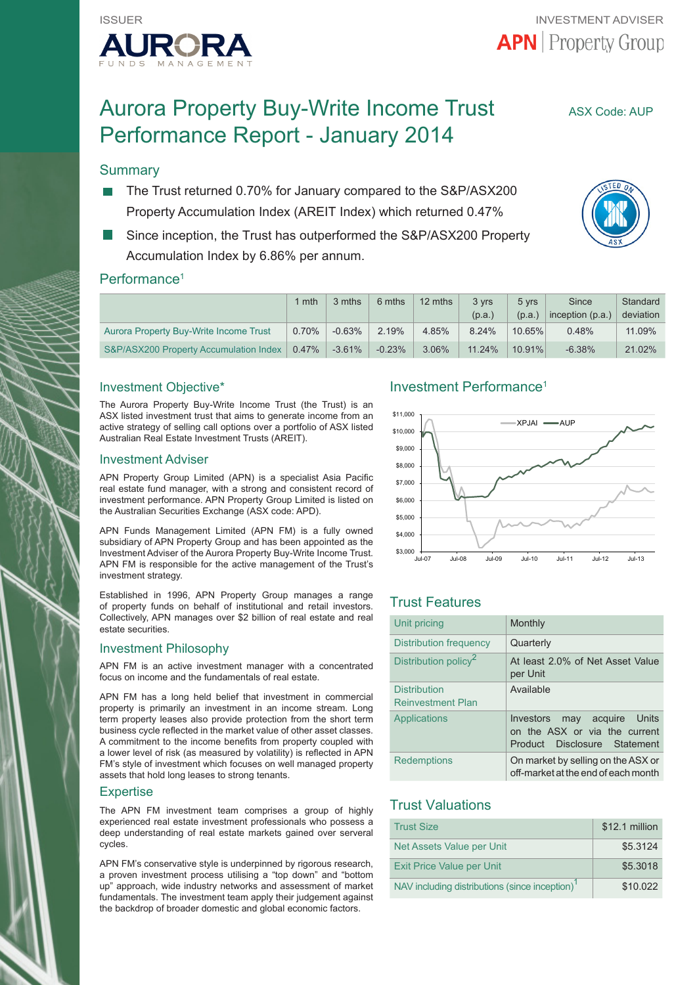

# Aurora Property Buy-Write Income Trust ASX Code: AUP Performance Report - January 2014

## **Summary**

- The Trust returned 0.70% for January compared to the S&P/ASX200 Property Accumulation Index (AREIT Index) which returned 0.47%
- Since inception, the Trust has outperformed the S&P/ASX200 Property Accumulation Index by 6.86% per annum.

## Performance<sup>1</sup>

|                                        | 1 mth    | 3 mths   | 6 mths   | 12 mths  | 3 yrs<br>(p.a.) | 5 yrs<br>(p.a.) | Since<br>inception (p.a.) | Standard<br>deviation |
|----------------------------------------|----------|----------|----------|----------|-----------------|-----------------|---------------------------|-----------------------|
| Aurora Property Buy-Write Income Trust | 0.70%    | $-0.63%$ | 2.19%    | 4.85%    | 8.24%           | 10.65%          | 0.48%                     | 11.09%                |
| S&P/ASX200 Property Accumulation Index | $0.47\%$ | $-3.61%$ | $-0.23%$ | $3.06\%$ | 11.24%          | 10.91%          | $-6.38%$                  | 21.02%                |

## Investment Objective\*

The Aurora Property Buy-Write Income Trust (the Trust) is an ASX listed investment trust that aims to generate income from an active strategy of selling call options over a portfolio of ASX listed Australian Real Estate Investment Trusts (AREIT).

### Investment Adviser

APN Property Group Limited (APN) is a specialist Asia Pacific real estate fund manager, with a strong and consistent record of investment performance. APN Property Group Limited is listed on the Australian Securities Exchange (ASX code: APD).

APN Funds Management Limited (APN FM) is a fully owned subsidiary of APN Property Group and has been appointed as the Investment Adviser of the Aurora Property Buy-Write Income Trust. APN FM is responsible for the active management of the Trust's investment strategy.

Established in 1996, APN Property Group manages a range of property funds on behalf of institutional and retail investors. Collectively, APN manages over \$2 billion of real estate and real estate securities.

### Investment Philosophy

APN FM is an active investment manager with a concentrated focus on income and the fundamentals of real estate.

APN FM has a long held belief that investment in commercial property is primarily an investment in an income stream. Long term property leases also provide protection from the short term business cycle reflected in the market value of other asset classes. A commitment to the income benefits from property coupled with a lower level of risk (as measured by volatility) is reflected in APN FM's style of investment which focuses on well managed property assets that hold long leases to strong tenants.

### **Expertise**

The APN FM investment team comprises a group of highly experienced real estate investment professionals who possess a deep understanding of real estate markets gained over serveral cycles.

APN FM's conservative style is underpinned by rigorous research, a proven investment process utilising a "top down" and "bottom up" approach, wide industry networks and assessment of market fundamentals. The investment team apply their judgement against the backdrop of broader domestic and global economic factors.

## Investment Performance1



## Trust Features

| Unit pricing                                    | Monthly                                                                                                   |
|-------------------------------------------------|-----------------------------------------------------------------------------------------------------------|
| <b>Distribution frequency</b>                   | Quarterly                                                                                                 |
| Distribution policy <sup>2</sup>                | At least 2.0% of Net Asset Value<br>per Unit                                                              |
| <b>Distribution</b><br><b>Reinvestment Plan</b> | Available                                                                                                 |
| Applications                                    | may acquire Units<br>Investors<br>on the ASX or via the current<br>Disclosure Statement<br><b>Product</b> |
| <b>Redemptions</b>                              | On market by selling on the ASX or<br>off-market at the end of each month                                 |

## Trust Valuations

| <b>Trust Size</b>                                          | \$12.1 million |
|------------------------------------------------------------|----------------|
| Net Assets Value per Unit                                  | \$5.3124       |
| <b>Exit Price Value per Unit</b>                           | \$5,3018       |
| NAV including distributions (since inception) <sup>1</sup> | \$10.022       |